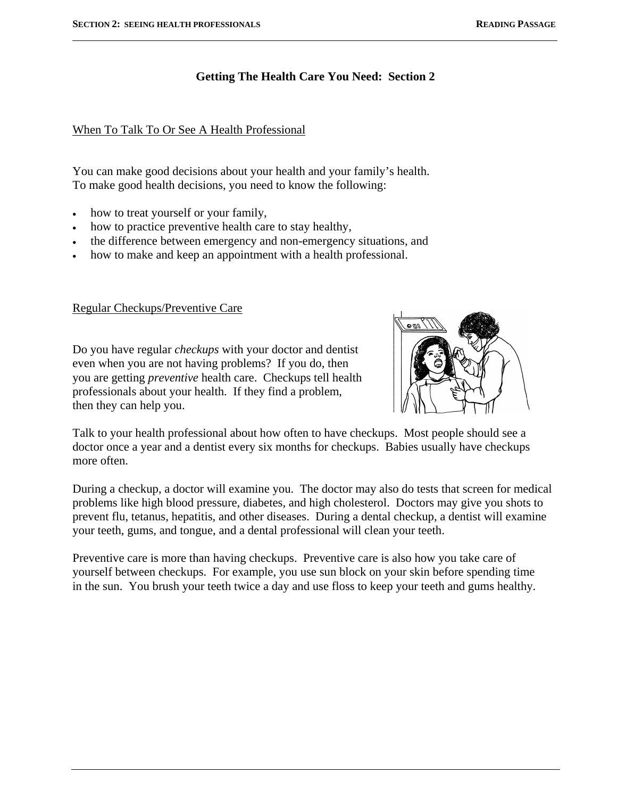l

# **Getting The Health Care You Need: Section 2**

### When To Talk To Or See A Health Professional

You can make good decisions about your health and your family's health. To make good health decisions, you need to know the following:

- how to treat yourself or your family,
- how to practice preventive health care to stay healthy,
- the difference between emergency and non-emergency situations, and
- how to make and keep an appointment with a health professional.

### Regular Checkups/Preventive Care

Do you have regular *checkups* with your doctor and dentist even when you are not having problems? If you do, then you are getting *preventive* health care. Checkups tell health professionals about your health. If they find a problem, then they can help you.



Talk to your health professional about how often to have checkups. Most people should see a doctor once a year and a dentist every six months for checkups. Babies usually have checkups more often.

During a checkup, a doctor will examine you. The doctor may also do tests that screen for medical problems like high blood pressure, diabetes, and high cholesterol. Doctors may give you shots to prevent flu, tetanus, hepatitis, and other diseases. During a dental checkup, a dentist will examine your teeth, gums, and tongue, and a dental professional will clean your teeth.

Preventive care is more than having checkups. Preventive care is also how you take care of yourself between checkups. For example, you use sun block on your skin before spending time in the sun. You brush your teeth twice a day and use floss to keep your teeth and gums healthy.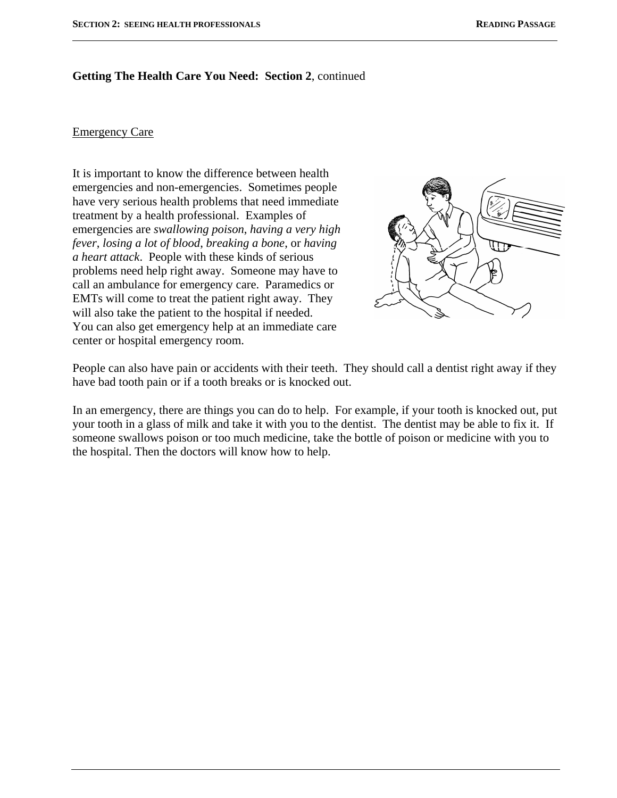#### **Getting The Health Care You Need: Section 2**, continued

#### Emergency Care

l

It is important to know the difference between health emergencies and non-emergencies. Sometimes people have very serious health problems that need immediate treatment by a health professional. Examples of emergencies are *swallowing poison*, *having a very high fever*, *losing a lot of blood*, *breaking a bone*, or *having a heart attack*. People with these kinds of serious problems need help right away. Someone may have to call an ambulance for emergency care. Paramedics or EMTs will come to treat the patient right away. They will also take the patient to the hospital if needed. You can also get emergency help at an immediate care center or hospital emergency room.



People can also have pain or accidents with their teeth. They should call a dentist right away if they have bad tooth pain or if a tooth breaks or is knocked out.

In an emergency, there are things you can do to help. For example, if your tooth is knocked out, put your tooth in a glass of milk and take it with you to the dentist. The dentist may be able to fix it. If someone swallows poison or too much medicine, take the bottle of poison or medicine with you to the hospital. Then the doctors will know how to help.